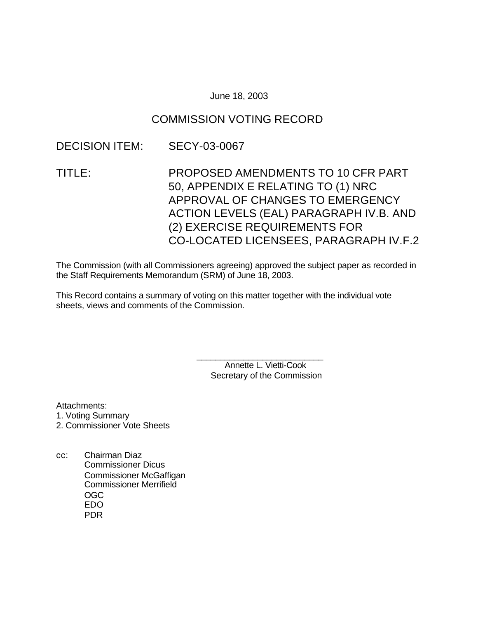### June 18, 2003

## COMMISSION VOTING RECORD

## DECISION ITEM: SECY-03-0067

TITLE: PROPOSED AMENDMENTS TO 10 CFR PART 50, APPENDIX E RELATING TO (1) NRC APPROVAL OF CHANGES TO EMERGENCY ACTION LEVELS (EAL) PARAGRAPH IV.B. AND (2) EXERCISE REQUIREMENTS FOR CO-LOCATED LICENSEES, PARAGRAPH IV.F.2

The Commission (with all Commissioners agreeing) approved the subject paper as recorded in the Staff Requirements Memorandum (SRM) of June 18, 2003.

This Record contains a summary of voting on this matter together with the individual vote sheets, views and comments of the Commission.

> Annette L. Vietti-Cook Secretary of the Commission

\_\_\_\_\_\_\_\_\_\_\_\_\_\_\_\_\_\_\_\_\_\_\_\_\_\_\_

Attachments:

- 1. Voting Summary
- 2. Commissioner Vote Sheets
- cc: Chairman Diaz Commissioner Dicus Commissioner McGaffigan Commissioner Merrifield OGC EDO PDR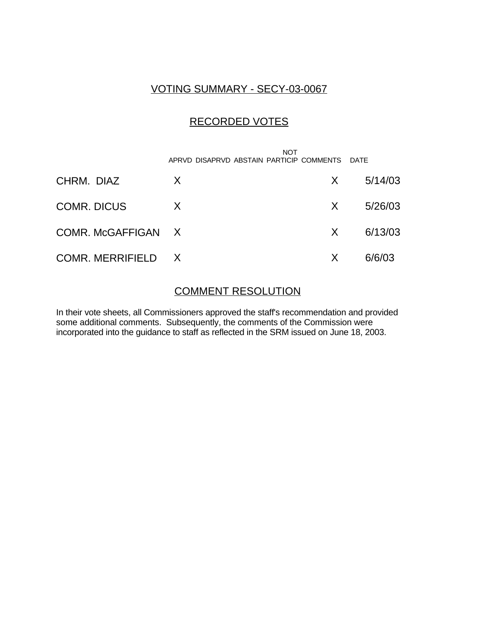# VOTING SUMMARY - SECY-03-0067

# RECORDED VOTES

 NOT APRVD DISAPRVD ABSTAIN PARTICIP COMMENTS DATE

| CHRM. DIAZ         | X |          | $X = 5/14/03$ |
|--------------------|---|----------|---------------|
| <b>COMR. DICUS</b> | X | $X \sim$ | 5/26/03       |
| COMR. McGAFFIGAN X |   |          | $X = 6/13/03$ |
| COMR. MERRIFIELD X |   | X.       | 6/6/03        |

## COMMENT RESOLUTION

In their vote sheets, all Commissioners approved the staff's recommendation and provided some additional comments. Subsequently, the comments of the Commission were incorporated into the guidance to staff as reflected in the SRM issued on June 18, 2003.